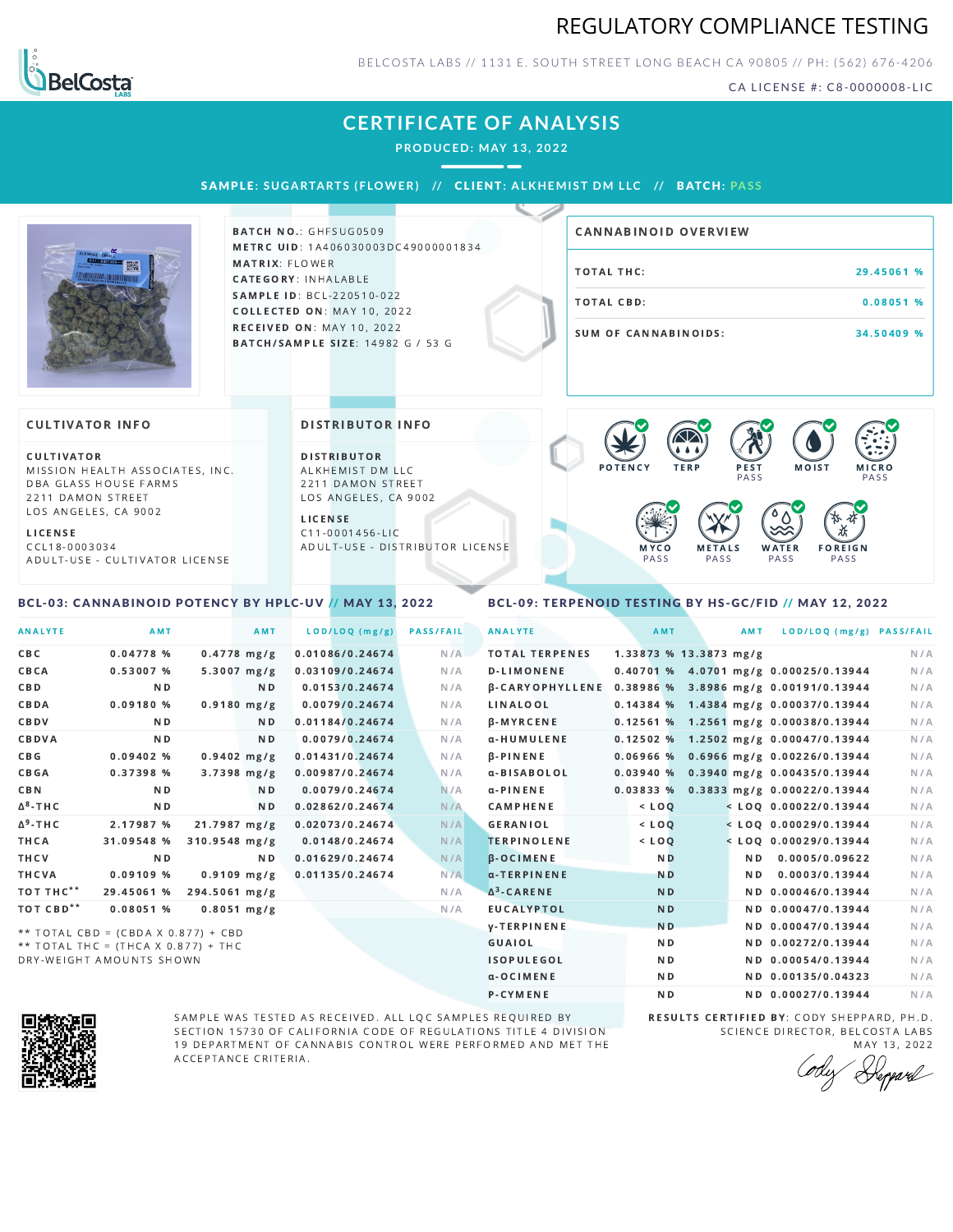## REGULATORY COMPLIANCE TESTING



BELCOSTA LABS // 1131 E. SOUTH STREET LONG BEACH CA 90805 // PH: (562) 676-4206

CA LICENSE #: C8-0000008-LIC

## **CERTIFICATE OF ANALYSIS**

**PRODUCED: MAY 13, 2022**

SAMPL E **: SUGA RTA RTS ( F LOWER) //** CL I ENT**: A LKHEMI ST DM L LC //** BATCH**: PA S S**



**BATCH NO.: GHFSUG0509** METRC UID: 1A406030003DC49000001834 MATRIX: FLOWER CATEGORY: INHALABLE SAMPLE ID: BCL-220510-022 **COLLECTED ON: MAY 10, 2022** RECEIVED ON: MAY 10, 2022 BATCH/SAMPLE SIZE: 14982 G / 53 G

| <b>CANNABINOID OVERVIEW</b> |            |
|-----------------------------|------------|
| TOTAL THC:                  | 29.45061 % |
| TOTAL CBD:                  | 0.08051%   |
| SUM OF CANNABINOIDS:        | 34.50409 % |

#### **CULTIVATOR INFO**

CULTIVATOR MISSION HEALTH ASSOCIATES, INC. DBA GLASS HOUSE FARMS 2211 DAMON STREET LOS ANGELES, CA 9002

L I C E N S E

C C L 1 8 - 0 0 0 3 0 3 4 A D U L T - U S E - C U L T I V A T O R L I CENSE

<span id="page-0-0"></span>BCL-03: CANNABINOID POTENCY BY HPLC-UV // MAY 13, 2022

DISTRIBUTOR INFO

D I STRIBUTOR ALKHEMIST DM LLC 2211 DAMON STREET LOS ANGELES, CA 9002

L I C E N S E C 1 1 - 0 0 0 1 4 5 6 - L I C A D U L T - U S E - D I STRIBUTOR LICENSE



### <span id="page-0-1"></span>BCL-09: TERPENOID TESTING BY HS-GC/FID // MAY 12, 2022

| <b>ANALYTE</b>        | AMT                                 |                 | AMT            | LOD/LOQ (mg/g)  | <b>PASS/FAIL</b> | <b>ANALYTE</b>         | AMT            |                        | AMT<br>LOD/LOQ (mg/g) PASS/FAIL         |     |
|-----------------------|-------------------------------------|-----------------|----------------|-----------------|------------------|------------------------|----------------|------------------------|-----------------------------------------|-----|
| C B C                 | 0.04778%                            |                 | $0.4778$ mg/g  | 0.01086/0.24674 | N/A              | <b>TOTAL TERPENES</b>  |                | 1.33873 % 13.3873 mg/g |                                         | N/A |
| CBCA                  | 0.53007 %                           |                 | $5.3007$ mg/g  | 0.03109/0.24674 | N/A              | <b>D-LIMONENE</b>      |                |                        | 0.40701 % 4.0701 mg/g 0.00025/0.13944   | N/A |
| <b>CBD</b>            | N <sub>D</sub>                      |                 | ND.            | 0.0153/0.24674  | N/A              | <b>B-CARYOPHYLLENE</b> |                |                        | 0.38986 % 3.8986 mg/g 0.00191/0.13944   | N/A |
| CBDA                  | 0.09180%                            |                 | $0.9180$ mg/g  | 0.0079/0.24674  | N/A              | LINALOOL               |                |                        | $0.14384\%$ 1.4384 mg/g 0.00037/0.13944 | N/A |
| CBDV                  | N <sub>D</sub>                      |                 | N <sub>D</sub> | 0.01184/0.24674 | N/A              | $\beta$ -MYRCENE       |                |                        | $0.12561\%$ 1.2561 mg/g 0.00038/0.13944 | N/A |
| CBDVA                 | N <sub>D</sub>                      |                 | N <sub>D</sub> | 0.0079/0.24674  | N/A              | α-HUMULENE             |                |                        | $0.12502$ % 1.2502 mg/g 0.00047/0.13944 | N/A |
| C B G                 | $0.09402$ %                         |                 | $0.9402$ mg/g  | 0.01431/0.24674 | N/A              | <b>B-PINENE</b>        | $0.06966$ %    |                        | $0.6966$ mg/g $0.00226/0.13944$         | N/A |
| <b>CBGA</b>           | 0.37398 %                           |                 | $3.7398$ mg/g  | 0.00987/0.24674 | N/A              | a-BISABOLOL            | 0.03940%       |                        | $0.3940$ mg/g $0.00435/0.13944$         | N/A |
| <b>CBN</b>            | N <sub>D</sub>                      |                 | N <sub>D</sub> | 0.0079/0.24674  | N/A              | $\alpha$ -PINENE       |                |                        | $0.03833\%$ 0.3833 mg/g 0.00022/0.13944 | N/A |
| $\Delta^8$ -THC       | N <sub>D</sub>                      |                 | N <sub>D</sub> | 0.02862/0.24674 | N/A              | CAMPHENE               | $<$ LOQ        |                        | $<$ LOQ 0.00022/0.13944                 | N/A |
| $\Delta^9$ -THC       | 2.17987 %                           | 21.7987 mg/g    |                | 0.02073/0.24674 | N/A              | <b>GERANIOL</b>        | $<$ LOO        |                        | $<$ LOQ 0.00029/0.13944                 | N/A |
| <b>THCA</b>           | 31.09548 %                          | $310.9548$ mg/g |                | 0.0148/0.24674  | N/A              | <b>TERPINOLENE</b>     | $<$ LOQ        |                        | $<$ LOO 0.00029/0.13944                 | N/A |
| THCV                  | N <sub>D</sub>                      |                 | ND.            | 0.01629/0.24674 | N/A              | <b>B-OCIMENE</b>       | N <sub>D</sub> |                        | N <sub>D</sub><br>0.0005/0.09622        | N/A |
| <b>THCVA</b>          | $0.09109$ %                         |                 | $0.9109$ mg/g  | 0.01135/0.24674 | N/A              | α-TERPINENE            | <b>ND</b>      |                        | 0.0003/0.13944<br>N <sub>D</sub>        | N/A |
| TOT THC**             | 29.45061 %                          | 294.5061 mg/g   |                |                 | N/A              | $\Delta^3$ -CARENE     | <b>ND</b>      |                        | ND 0.00046/0.13944                      | N/A |
| TOT CBD <sup>**</sup> | $0.08051$ %                         |                 | $0.8051$ mg/g  |                 | N/A              | <b>EUCALYPTOL</b>      | <b>ND</b>      |                        | ND 0.00047/0.13944                      | N/A |
|                       | ** TOTAL CBD = (CBDA X 0.877) + CBD |                 |                |                 |                  | <b>y-TERPINENE</b>     | N <sub>D</sub> |                        | ND 0.00047/0.13944                      | N/A |
|                       | ** TOTAL THC = (THCA X 0.877) + THC |                 |                |                 |                  | <b>GUAIOL</b>          | N <sub>D</sub> |                        | ND 0.00272/0.13944                      | N/A |
|                       | DRY-WEIGHT AMOUNTS SHOWN            |                 |                |                 |                  | <b>ISOPULEGOL</b>      | N <sub>D</sub> |                        | ND 0.00054/0.13944                      | N/A |



SAMPLE WAS TESTED AS RECEIVED. ALL LQC SAMPLES REQUIRED BY SECTION 15730 OF CALIFORNIA CODE OF REGULATIONS TITLE 4 DIVISION 19 DEPARTMENT OF CANNABIS CONTROL WERE PERFORMED AND MET THE A C C E P T A N C E C R I T E R I A.

RESULTS CERTIFIED BY: CODY SHEPPARD, PH.D. SCIENCE DIRECTOR, BELCOSTA LABS

α-OCIMENE ND ND ND 0.00135/0.04323 N/A P-CYMENE ND ND ND 0.00027/0.13944 N/A

MAY 13, 2022<br>*Depard*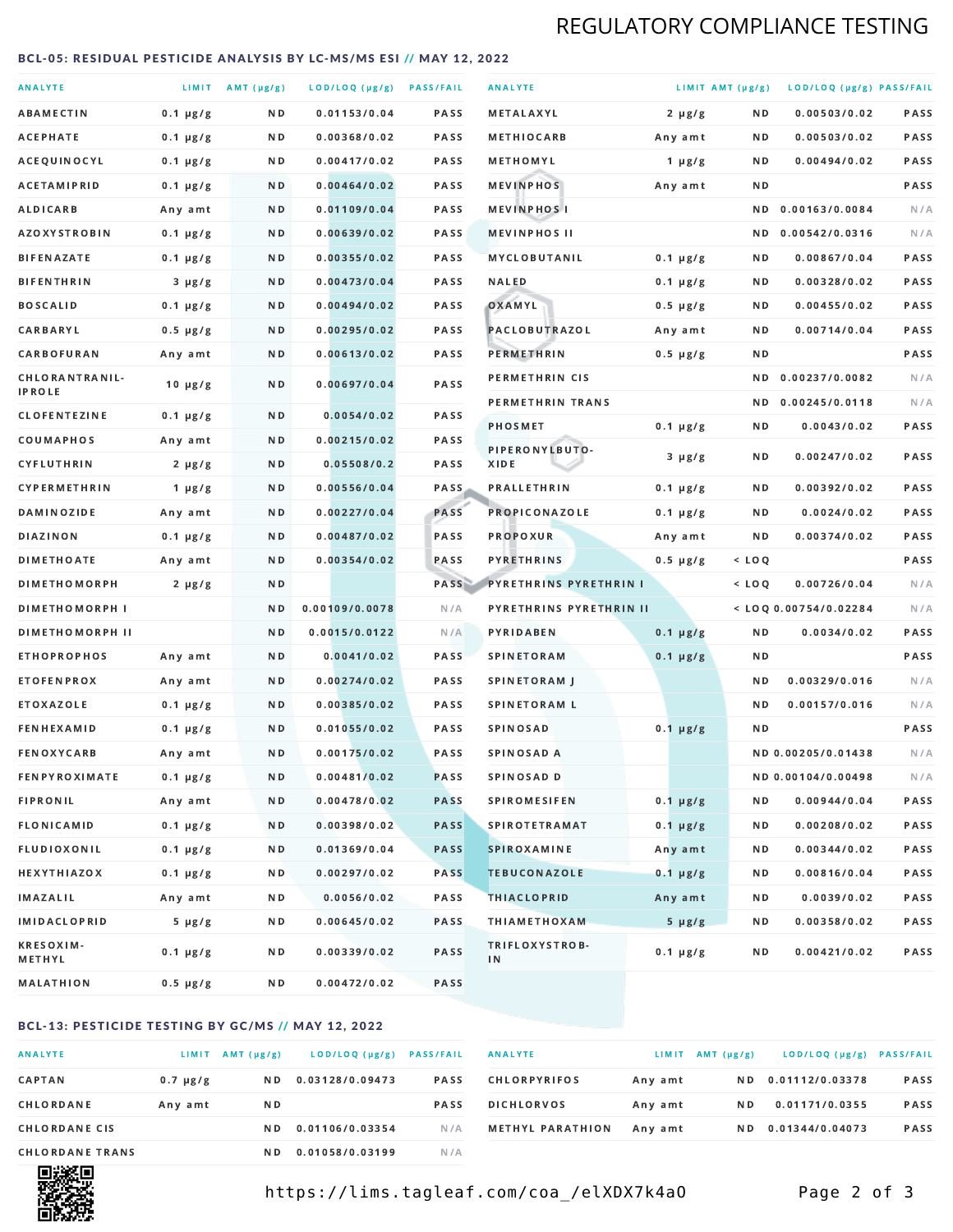## REGULATORY COMPLIANCE TESTING

#### <span id="page-1-0"></span>BCL-05: RESIDUAL PESTICIDE ANALYSIS BY LC-MS/MS ESI // MAY 12, 2022

| <b>ANALYTE</b>                  |               | LIMIT $AMT (\mu g/g)$ | LOD/LOQ (µg/g) PASS/FAIL |             | <b>ANALYTE</b>          |               | LIMIT AMT (µg/g) | LOD/LOQ (µg/g) PASS/FAIL |             |
|---------------------------------|---------------|-----------------------|--------------------------|-------------|-------------------------|---------------|------------------|--------------------------|-------------|
| <b>ABAMECTIN</b>                | $0.1 \mu g/g$ | N D                   | 0.01153/0.04             | <b>PASS</b> | METALAXYL               | $2 \mu g/g$   | N D              | 0.00503/0.02             | PASS        |
| <b>ACEPHATE</b>                 | $0.1 \mu g/g$ | ND.                   | 0.00368/0.02             | PASS        | <b>METHIOCARB</b>       | Any amt       | N D              | 0.00503/0.02             | PASS        |
| ACEQUINOCYL                     | $0.1 \mu g/g$ | ND.                   | 0.00417/0.02             | PASS        | METHOMYL                | 1 $\mu$ g/g   | N D              | 0.00494/0.02             | PASS        |
| <b>ACETAMIPRID</b>              | $0.1 \mu g/g$ | N D                   | 0.00464/0.02             | <b>PASS</b> | <b>MEVINPHOS</b>        | Any amt       | N D              |                          | PASS        |
| <b>ALDICARB</b>                 | Any amt       | N D                   | 0.01109/0.04             | <b>PASS</b> | <b>MEVINPHOSI</b>       |               | N D              | 0.00163/0.0084           | N/A         |
| <b>AZOXYSTROBIN</b>             | $0.1 \mu g/g$ | ND.                   | 0.00639/0.02             | PASS        | <b>MEVINPHOS II</b>     |               | N D              | 0.00542/0.0316           | N/A         |
| <b>BIFENAZATE</b>               | $0.1 \mu g/g$ | N D                   | 0.00355/0.02             | PASS        | <b>MYCLOBUTANIL</b>     | $0.1 \mu g/g$ | N D              | 0.00867/0.04             | PASS        |
| <b>BIFENTHRIN</b>               | $3 \mu g/g$   | N D                   | 0.00473/0.04             | <b>PASS</b> | <b>NALED</b>            | $0.1 \mu g/g$ | N D              | 0.00328/0.02             | PASS        |
| <b>BOSCALID</b>                 | $0.1 \mu g/g$ | N D                   | 0.00494/0.02             | PASS        | OXAMYL                  | $0.5 \mu g/g$ | N D              | 0.00455/0.02             | PASS        |
| CARBARYL                        | $0.5 \mu g/g$ | N D                   | 0.00295/0.02             | PASS        | PACLOBUTRAZOL           | Any amt       | N D              | 0.00714/0.04             | <b>PASS</b> |
| CARBOFURAN                      | Any amt       | N D                   | 0.00613/0.02             | <b>PASS</b> | <b>PERMETHRIN</b>       | $0.5 \mu g/g$ | N D              |                          | PASS        |
| CHLORANTRANIL-<br><b>IPROLE</b> | $10 \mu g/g$  | N D                   | 0.00697/0.04             | PASS        | PERMETHRIN CIS          |               | N D              | 0.00237/0.0082           | N/A         |
| <b>CLOFENTEZINE</b>             | $0.1 \mu g/g$ | N D                   | 0.0054/0.02              | <b>PASS</b> | PERMETHRIN TRANS        |               | N D              | 0.00245/0.0118           | N/A         |
| COUMAPHOS                       | Any amt       | N D                   | 0.00215/0.02             | <b>PASS</b> | <b>PHOSMET</b>          | $0.1 \mu g/g$ | N D              | 0.0043/0.02              | PASS        |
| CYFLUTHRIN                      | $2 \mu g/g$   | ND.                   | 0.05508/0.2              | <b>PASS</b> | PIPERONYLBUTO-<br>XIDE  | $3 \mu g/g$   | N D              | 0.00247/0.02             | PASS        |
| <b>CYPERMETHRIN</b>             | 1 $\mu$ g/g   | N D                   | 0.00556/0.04             | <b>PASS</b> | <b>PRALLETHRIN</b>      | $0.1 \mu g/g$ | N D              | 0.00392/0.02             | PASS        |
| <b>DAMINOZIDE</b>               | Any amt       | N D                   | 0.00227/0.04             | PASS        | <b>PROPICONAZOLE</b>    | $0.1 \mu g/g$ | ND.              | 0.0024/0.02              | PASS        |
| <b>DIAZINON</b>                 | $0.1 \mu g/g$ | N D                   | 0.00487/0.02             | <b>PASS</b> | <b>PROPOXUR</b>         | Any amt       | N D              | 0.00374/0.02             | PASS        |
| <b>DIMETHOATE</b>               | Any amt       | N D                   | 0.00354/0.02             | PASS        | <b>PYRETHRINS</b>       | $0.5 \mu g/g$ | $<$ LOQ          |                          | PASS        |
| <b>DIMETHOMORPH</b>             | $2 \mu g/g$   | N D                   |                          | PASS        | PYRETHRINS PYRETHRIN I  |               | $<$ LOQ          | 0.00726/0.04             | N/A         |
| <b>DIMETHOMORPH I</b>           |               | N D                   | 0.00109/0.0078           | N/A         | PYRETHRINS PYRETHRIN II |               |                  | < LOQ 0.00754/0.02284    | N/A         |
| <b>DIMETHOMORPH II</b>          |               | ND                    | 0.0015/0.0122            | N/A         | PYRIDABEN               | $0.1 \mu g/g$ | N D              | 0.0034/0.02              | PASS        |
| <b>ETHOPROPHOS</b>              | Any amt       | ND.                   | 0.0041/0.02              | PASS        | <b>SPINETORAM</b>       | $0.1 \mu g/g$ | N D              |                          | PASS        |
| <b>ETOFENPROX</b>               | Any amt       | N D                   | 0.00274/0.02             | <b>PASS</b> | <b>SPINETORAM J</b>     |               | N D              | 0.00329/0.016            | N/A         |
| <b>ETOXAZOLE</b>                | $0.1 \mu g/g$ | N D                   | 0.00385/0.02             | PASS        | <b>SPINETORAM L</b>     |               | N D              | 0.00157/0.016            | N/A         |
| <b>FENHEXAMID</b>               | $0.1 \mu g/g$ | N D                   | 0.01055/0.02             | <b>PASS</b> | <b>SPINOSAD</b>         | $0.1 \mu g/g$ | N D              |                          | <b>PASS</b> |
| <b>FENOXYCARB</b>               | Any amt       | N D                   | 0.00175/0.02             | <b>PASS</b> | SPINOSAD A              |               |                  | ND 0.00205/0.01438       | N/A         |
| <b>FENPYROXIMATE</b>            | $0.1 \mu g/g$ | N D                   | 0.00481/0.02             | <b>PASS</b> | SPINOSAD D              |               |                  | ND 0.00104/0.00498       | N/A         |
| <b>FIPRONIL</b>                 | Any amt       | N D                   | 0.00478/0.02             | <b>PASS</b> | <b>SPIROMESIFEN</b>     | $0.1 \mu g/g$ | N D              | 0.00944/0.04             | PASS        |
| <b>FLONICAMID</b>               | $0.1 \mu g/g$ | N D                   | 0.00398/0.02             | <b>PASS</b> | <b>SPIROTETRAMAT</b>    | $0.1 \mu g/g$ | N D              | 0.00208/0.02             | PASS        |
| FLUDIOXONIL                     | $0.1 \mu g/g$ | N D                   | 0.01369/0.04             | <b>PASS</b> | <b>SPIROXAMINE</b>      | Any amt       | N D              | 0.00344/0.02             | PASS        |
| <b>HEXYTHIAZOX</b>              | 0.1 µg/g      | N D                   | 0.00297/0.02             | PASS        | <b>TEBUCONAZOLE</b>     | $0.1 \mu g/g$ | N D              | 0.00816/0.04             | PASS        |
| IMAZALIL                        | Any amt       | N D                   | 0.0056/0.02              | <b>PASS</b> | <b>THIACLOPRID</b>      | Any amt       | N D              | 0.0039/0.02              | PASS        |
| <b>IMIDACLOPRID</b>             | $5 \mu g/g$   | N D                   | 0.00645/0.02             | PASS        | <b>THIAMETHOXAM</b>     | $5 \mu g/g$   | N D              | 0.00358/0.02             | PASS        |
| <b>KRESOXIM-</b><br>METHYL      | $0.1 \mu g/g$ | N D                   | 0.00339/0.02             | PASS        | TRIFLOXYSTROB-<br>IN    | $0.1 \mu g/g$ | N D              | 0.00421/0.02             | PASS        |
| MALATHION                       | 0.5 µg/g      | N D                   | 0.00472/0.02             | PASS        |                         |               |                  |                          |             |

### BCL-13: PESTICIDE TESTING BY GC/MS // MAY 12, 2022

| <b>ANALYTE</b>         | LIMIT         | $AMT(\mu g/g)$ | LOD/LOQ (µg/g)  | <b>PASS/FAIL</b> |
|------------------------|---------------|----------------|-----------------|------------------|
| <b>CAPTAN</b>          | $0.7 \mu g/g$ | N D            | 0.03128/0.09473 | <b>PASS</b>      |
| CHLORDANE              | Any amt       | N D            |                 | <b>PASS</b>      |
| <b>CHLORDANE CIS</b>   |               | N D            | 0.01106/0.03354 | N / A            |
| <b>CHLORDANE TRANS</b> |               | N D            | 0.01058/0.03199 | N / A            |

| <b>ANALYTE</b>          | LIMIT   | AMT (µg/g) | LOD/LOQ (µg/g)  | <b>PASS/FAIL</b> |
|-------------------------|---------|------------|-----------------|------------------|
| <b>CHLORPYRIFOS</b>     | Any amt | N D        | 0.01112/0.03378 | <b>PASS</b>      |
| <b>DICHLORVOS</b>       | Any amt | N D        | 0.01171/0.0355  | <b>PASS</b>      |
| <b>METHYL PARATHION</b> | Any amt | N D        | 0.01344/0.04073 | <b>PASS</b>      |